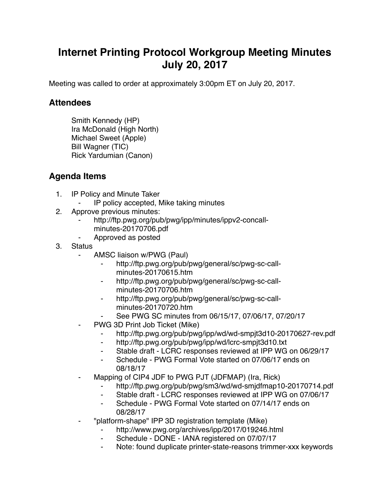## **Internet Printing Protocol Workgroup Meeting Minutes July 20, 2017**

Meeting was called to order at approximately 3:00pm ET on July 20, 2017.

## **Attendees**

Smith Kennedy (HP) Ira McDonald (High North) Michael Sweet (Apple) Bill Wagner (TIC) Rick Yardumian (Canon)

## **Agenda Items**

- 1. IP Policy and Minute Taker
	- ⁃ IP policy accepted, Mike taking minutes
- 2. Approve previous minutes:
	- http://ftp.pwg.org/pub/pwg/ipp/minutes/ippv2-concallminutes-20170706.pdf
	- ⁃ Approved as posted
- 3. Status
	- AMSC liaison w/PWG (Paul)
		- http://ftp.pwg.org/pub/pwg/general/sc/pwg-sc-callminutes-20170615.htm
		- http://ftp.pwg.org/pub/pwg/general/sc/pwg-sc-callminutes-20170706.htm
		- http://ftp.pwg.org/pub/pwg/general/sc/pwg-sc-callminutes-20170720.htm
		- See PWG SC minutes from 06/15/17, 07/06/17, 07/20/17
	- PWG 3D Print Job Ticket (Mike)
		- ⁃ http://ftp.pwg.org/pub/pwg/ipp/wd/wd-smpjt3d10-20170627-rev.pdf
		- ⁃ http://ftp.pwg.org/pub/pwg/ipp/wd/lcrc-smpjt3d10.txt
		- ⁃ Stable draft LCRC responses reviewed at IPP WG on 06/29/17
		- Schedule PWG Formal Vote started on 07/06/17 ends on 08/18/17
	- Mapping of CIP4 JDF to PWG PJT (JDFMAP) (Ira, Rick)
		- http://ftp.pwg.org/pub/pwg/sm3/wd/wd-smjdfmap10-20170714.pdf
		- ⁃ Stable draft LCRC responses reviewed at IPP WG on 07/06/17
		- Schedule PWG Formal Vote started on 07/14/17 ends on 08/28/17
	- ⁃ "platform-shape" IPP 3D registration template (Mike)
		- http://www.pwg.org/archives/ipp/2017/019246.html
		- ⁃ Schedule DONE IANA registered on 07/07/17
		- Note: found duplicate printer-state-reasons trimmer-xxx keywords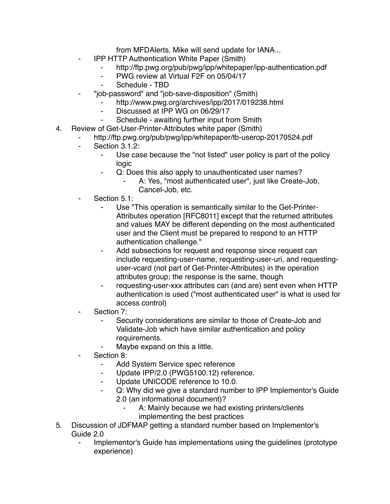from MFDAlerts, Mike will send update for IANA...

- **IPP HTTP Authentication White Paper (Smith)** 
	- http://ftp.pwg.org/pub/pwg/ipp/whitepaper/ipp-authentication.pdf
	- ⁃ PWG review at Virtual F2F on 05/04/17
	- Schedule TBD
	- ⁃ "job-password" and "job-save-disposition" (Smith)
		- http://www.pwg.org/archives/ipp/2017/019238.html
			- Discussed at IPP WG on 06/29/17
			- Schedule awaiting further input from Smith
- 4. Review of Get-User-Printer-Attributes white paper (Smith)
	- http://ftp.pwg.org/pub/pwg/ipp/whitepaper/tb-userop-20170524.pdf
	- ⁃ Section 3.1.2:
		- Use case because the "not listed" user policy is part of the policy logic
		- ⁃ Q: Does this also apply to unauthenticated user names?
			- A: Yes, "most authenticated user", just like Create-Job, Cancel-Job, etc.
	- Section 5.1:
		- Use "This operation is semantically similar to the Get-Printer-Attributes operation [RFC8011] except that the returned attributes and values MAY be different depending on the most authenticated user and the Client must be prepared to respond to an HTTP authentication challenge."
		- ⁃ Add subsections for request and response since request can include requesting-user-name, requesting-user-uri, and requestinguser-vcard (not part of Get-Printer-Attributes) in the operation attributes group; the response is the same, though
		- requesting-user-xxx attributes can (and are) sent even when HTTP authentication is used ("most authenticated user" is what is used for access control)
	- Section 7:
		- ⁃ Security considerations are similar to those of Create-Job and Validate-Job which have similar authentication and policy requirements.
			- Maybe expand on this a little.
	- Section 8:
		- ⁃ Add System Service spec reference
		- Update IPP/2.0 (PWG5100.12) reference.
		- Update UNICODE reference to 10.0.
		- Q: Why did we give a standard number to IPP Implementor's Guide 2.0 (an informational document)?
			- A: Mainly because we had existing printers/clients
			- implementing the best practices
- 5. Discussion of JDFMAP getting a standard number based on Implementor's Guide 2.0
	- Implementor's Guide has implementations using the quidelines (prototype) experience)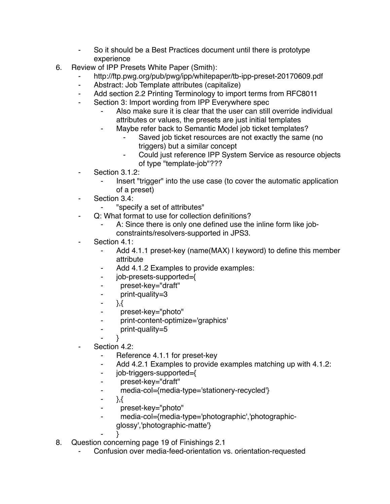- ⁃ So it should be a Best Practices document until there is prototype experience
- 6. Review of IPP Presets White Paper (Smith):
	- http://ftp.pwg.org/pub/pwg/ipp/whitepaper/tb-ipp-preset-20170609.pdf
	- ⁃ Abstract: Job Template attributes (capitalize)
	- Add section 2.2 Printing Terminology to import terms from RFC8011
	- ⁃ Section 3: Import wording from IPP Everywhere spec
		- Also make sure it is clear that the user can still override individual attributes or values, the presets are just initial templates
		- Maybe refer back to Semantic Model job ticket templates?
			- Saved job ticket resources are not exactly the same (no triggers) but a similar concept
			- Could just reference IPP System Service as resource objects of type "template-job"???
	- ⁃ Section 3.1.2:
		- Insert "trigger" into the use case (to cover the automatic application of a preset)
	- ⁃ Section 3.4:
		- ⁃ "specify a set of attributes"
	- ⁃ Q: What format to use for collection definitions?
		- A: Since there is only one defined use the inline form like jobconstraints/resolvers-supported in JPS3.
	- Section 4.1:
		- ⁃ Add 4.1.1 preset-key (name(MAX) | keyword) to define this member attribute
		- Add 4.1.2 Examples to provide examples:
		- ⁃ job-presets-supported={
		- ⁃ preset-key="draft"
		- ⁃ print-quality=3
		- $-$  },{
		- ⁃ preset-key="photo"
		- ⁃ print-content-optimize='graphics'
		- print-quality=5
		- $\lambda$
	- Section 4.2:
		- Reference 4.1.1 for preset-key
		- ⁃ Add 4.2.1 Examples to provide examples matching up with 4.1.2:
		- ⁃ job-triggers-supported={
		- preset-key="draft"
		- ⁃ media-col={media-type='stationery-recycled'}
		- $-$  },{
		- ⁃ preset-key="photo"
		- media-col={media-type='photographic','photographic
			- glossy','photographic-matte'}
		- $\}$
- 8. Question concerning page 19 of Finishings 2.1
	- Confusion over media-feed-orientation vs. orientation-requested